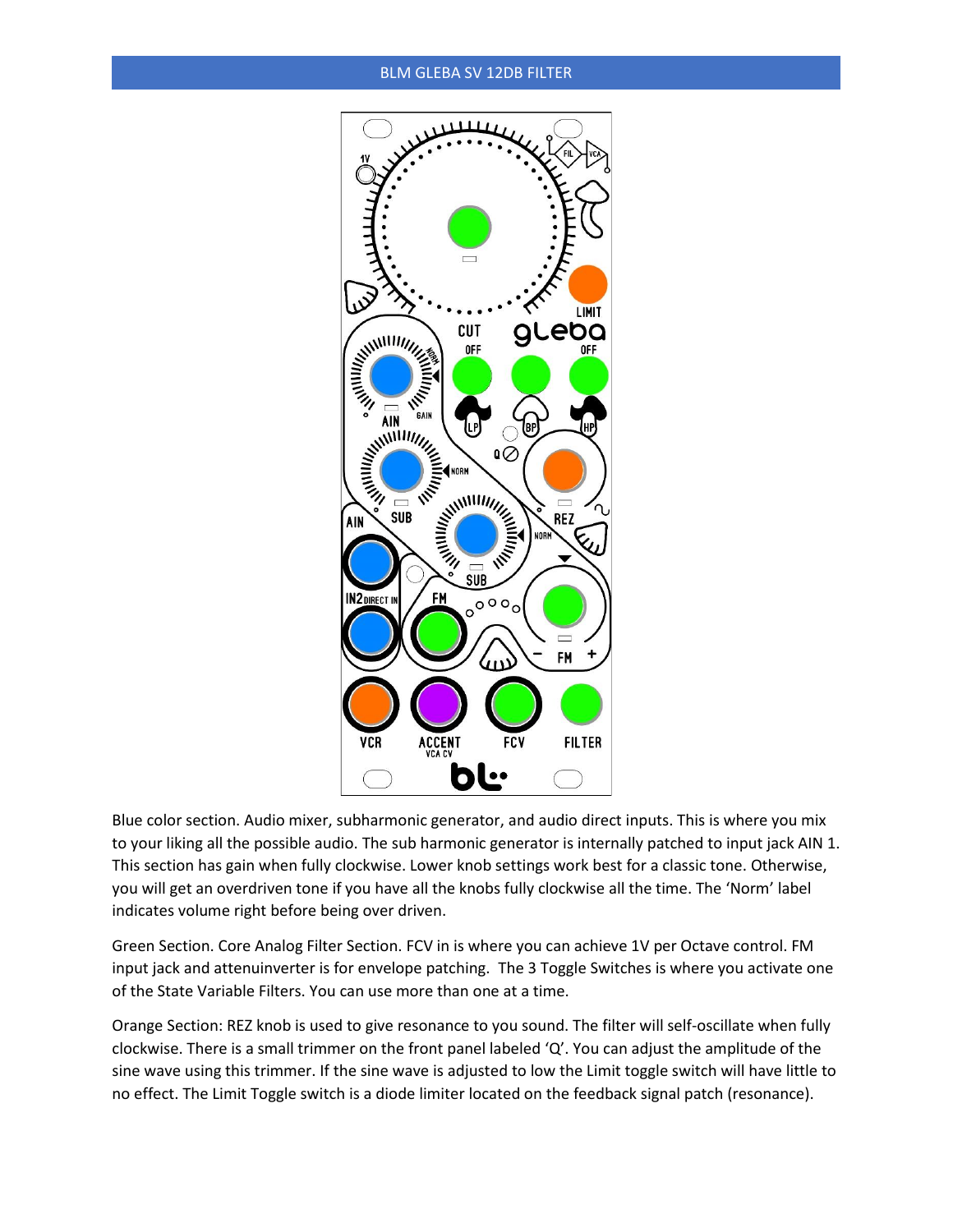## BLM GLEBA SV 12DB FILTER



Blue color section. Audio mixer, subharmonic generator, and audio direct inputs. This is where you mix to your liking all the possible audio. The sub harmonic generator is internally patched to input jack AIN 1. This section has gain when fully clockwise. Lower knob settings work best for a classic tone. Otherwise, you will get an overdriven tone if you have all the knobs fully clockwise all the time. The 'Norm' label indicates volume right before being over driven.

Green Section. Core Analog Filter Section. FCV in is where you can achieve 1V per Octave control. FM input jack and attenuinverter is for envelope patching. The 3 Toggle Switches is where you activate one of the State Variable Filters. You can use more than one at a time.

Orange Section: REZ knob is used to give resonance to you sound. The filter will self-oscillate when fully clockwise. There is a small trimmer on the front panel labeled 'Q'. You can adjust the amplitude of the sine wave using this trimmer. If the sine wave is adjusted to low the Limit toggle switch will have little to no effect. The Limit Toggle switch is a diode limiter located on the feedback signal patch (resonance).